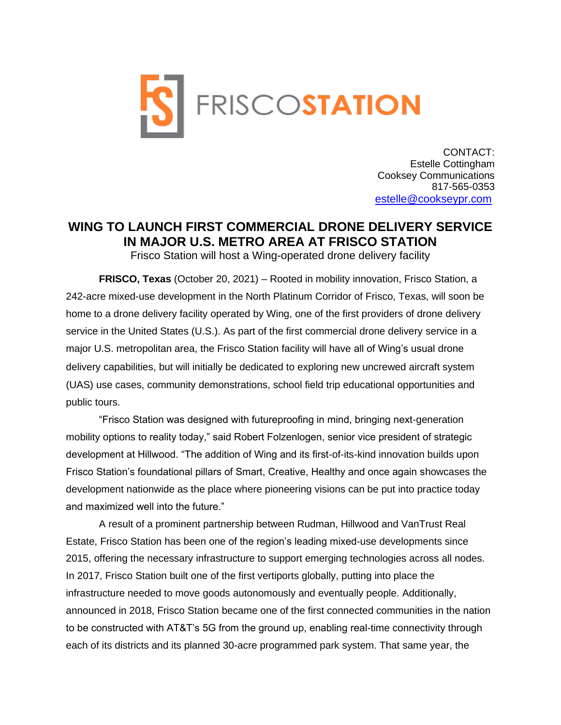

CONTACT: Estelle Cottingham Cooksey Communications 817-565-0353 [estelle@cookseypr.com](mailto:estelle@cookseypr.com) 

## **WING TO LAUNCH FIRST COMMERCIAL DRONE DELIVERY SERVICE IN MAJOR U.S. METRO AREA AT FRISCO STATION**

Frisco Station will host a Wing-operated drone delivery facility

**FRISCO, Texas** (October 20, 2021) – Rooted in mobility innovation, Frisco Station, a 242-acre mixed-use development in the North Platinum Corridor of Frisco, Texas, will soon be home to a drone delivery facility operated by Wing, one of the first providers of drone delivery service in the United States (U.S.). As part of the first commercial drone delivery service in a major U.S. metropolitan area, the Frisco Station facility will have all of Wing's usual drone delivery capabilities, but will initially be dedicated to exploring new uncrewed aircraft system (UAS) use cases, community demonstrations, school field trip educational opportunities and public tours.

"Frisco Station was designed with futureproofing in mind, bringing next-generation mobility options to reality today," said Robert Folzenlogen, senior vice president of strategic development at Hillwood. "The addition of Wing and its first-of-its-kind innovation builds upon Frisco Station's foundational pillars of Smart, Creative, Healthy and once again showcases the development nationwide as the place where pioneering visions can be put into practice today and maximized well into the future."

A result of a prominent partnership between Rudman, Hillwood and VanTrust Real Estate, Frisco Station has been one of the region's leading mixed-use developments since 2015, offering the necessary infrastructure to support emerging technologies across all nodes. In 2017, Frisco Station built one of the first vertiports globally, putting into place the infrastructure needed to move goods autonomously and eventually people. Additionally, announced in 2018, Frisco Station became one of the first connected communities in the nation to be constructed with AT&T's 5G from the ground up, enabling real-time connectivity through each of its districts and its planned 30-acre programmed park system. That same year, the